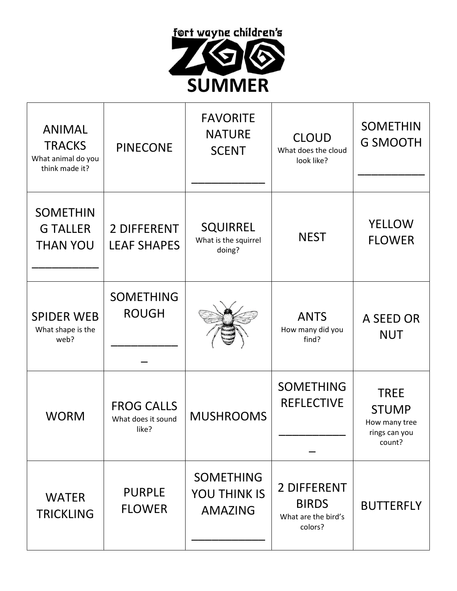

| <b>ANIMAL</b><br><b>TRACKS</b><br>What animal do you<br>think made it? | <b>PINECONE</b>                                  | <b>FAVORITE</b><br><b>NATURE</b><br><b>SCENT</b>          | <b>CLOUD</b><br>What does the cloud<br>look like?             | <b>SOMETHIN</b><br><b>G SMOOTH</b>                                      |
|------------------------------------------------------------------------|--------------------------------------------------|-----------------------------------------------------------|---------------------------------------------------------------|-------------------------------------------------------------------------|
| <b>SOMETHIN</b><br><b>G TALLER</b><br><b>THAN YOU</b>                  | 2 DIFFERENT<br><b>LEAF SHAPES</b>                | <b>SQUIRREL</b><br>What is the squirrel<br>doing?         | <b>NEST</b>                                                   | <b>YELLOW</b><br><b>FLOWER</b>                                          |
| <b>SPIDER WEB</b><br>What shape is the<br>web?                         | <b>SOMETHING</b><br><b>ROUGH</b>                 |                                                           | <b>ANTS</b><br>How many did you<br>find?                      | A SEED OR<br><b>NUT</b>                                                 |
| <b>WORM</b>                                                            | <b>FROG CALLS</b><br>What does it sound<br>like? | <b>MUSHROOMS</b>                                          | <b>SOMETHING</b><br><b>REFLECTIVE</b>                         | <b>TREE</b><br><b>STUMP</b><br>How many tree<br>rings can you<br>count? |
| <b>WATER</b><br><b>TRICKLING</b>                                       | <b>PURPLE</b><br><b>FLOWER</b>                   | <b>SOMETHING</b><br><b>YOU THINK IS</b><br><b>AMAZING</b> | 2 DIFFERENT<br><b>BIRDS</b><br>What are the bird's<br>colors? | <b>BUTTERFLY</b>                                                        |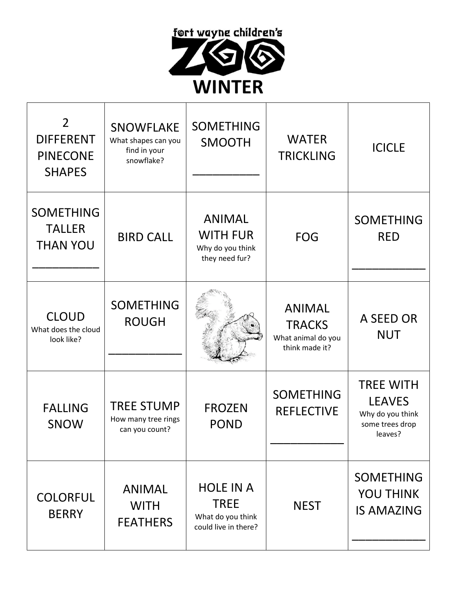

| $\overline{2}$<br><b>DIFFERENT</b><br><b>PINECONE</b><br><b>SHAPES</b> | <b>SNOWFLAKE</b><br>What shapes can you<br>find in your<br>snowflake? | <b>SOMETHING</b><br><b>SMOOTH</b>                                            | <b>WATER</b><br><b>TRICKLING</b>                                       | <b>ICICLE</b>                                                                       |
|------------------------------------------------------------------------|-----------------------------------------------------------------------|------------------------------------------------------------------------------|------------------------------------------------------------------------|-------------------------------------------------------------------------------------|
| <b>SOMETHING</b><br><b>TALLER</b><br><b>THAN YOU</b>                   | <b>BIRD CALL</b>                                                      | <b>ANIMAL</b><br><b>WITH FUR</b><br>Why do you think<br>they need fur?       | <b>FOG</b>                                                             | <b>SOMETHING</b><br><b>RED</b>                                                      |
| <b>CLOUD</b><br>What does the cloud<br>look like?                      | <b>SOMETHING</b><br><b>ROUGH</b>                                      |                                                                              | <b>ANIMAL</b><br><b>TRACKS</b><br>What animal do you<br>think made it? | A SEED OR<br><b>NUT</b>                                                             |
| <b>FALLING</b><br><b>SNOW</b>                                          | <b>TREE STUMP</b><br>How many tree rings<br>can you count?            | <b>FROZEN</b><br><b>POND</b>                                                 | <b>SOMETHING</b><br><b>REFLECTIVE</b>                                  | <b>TREE WITH</b><br><b>LEAVES</b><br>Why do you think<br>some trees drop<br>leaves? |
| <b>COLORFUL</b><br><b>BERRY</b>                                        | <b>ANIMAL</b><br><b>WITH</b><br><b>FEATHERS</b>                       | <b>HOLE IN A</b><br><b>TREE</b><br>What do you think<br>could live in there? | <b>NEST</b>                                                            | <b>SOMETHING</b><br><b>YOU THINK</b><br><b>IS AMAZING</b>                           |